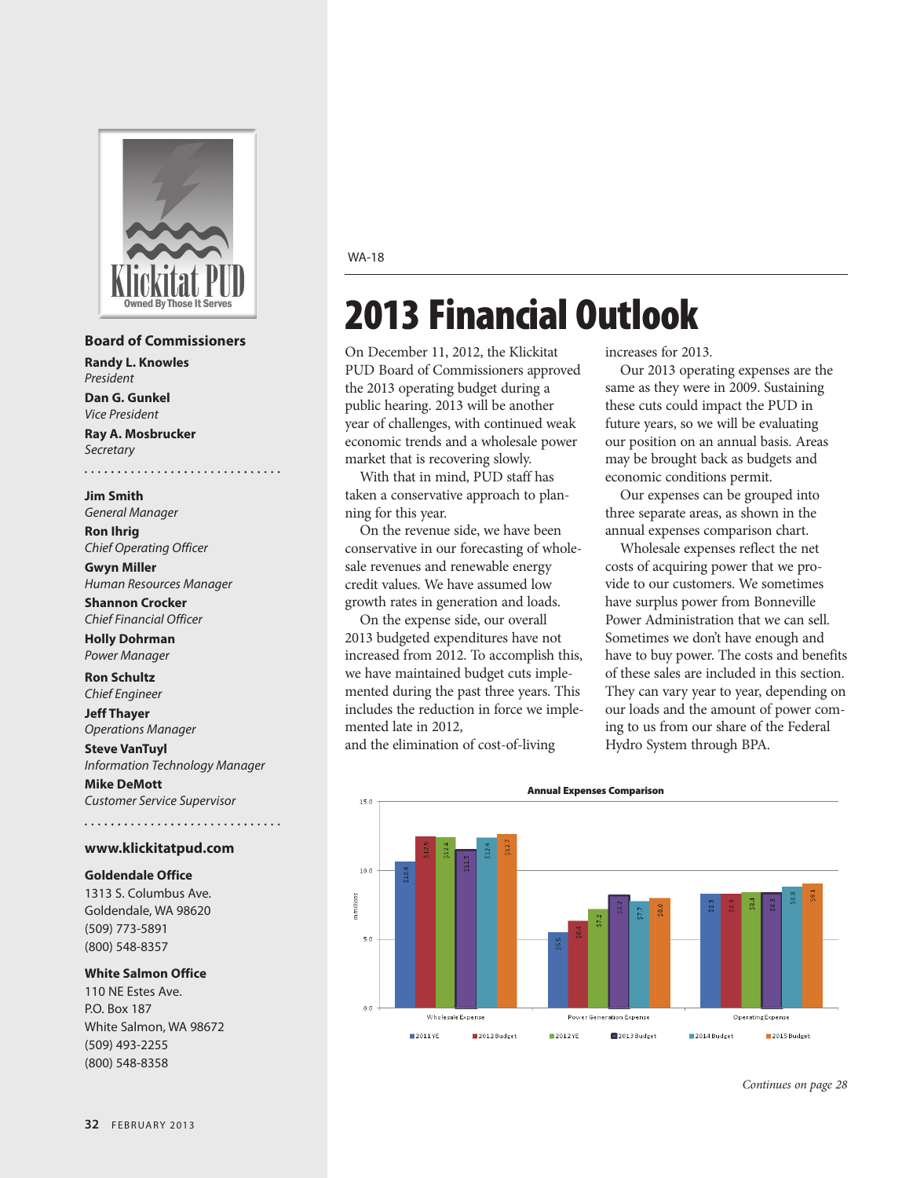

#### **Board of Commissioners**

**Randy L. Knowles** *President*

**Dan G. Gunkel** *Vice President*

**Ray A. Mosbrucker** *Secretary*

**Jim Smith** *General Manager*

**Ron Ihrig** *Chief Operating Officer*

**Gwyn Miller**  *Human Resources Manager*

**Shannon Crocker** *Chief Financial Officer* 

**Holly Dohrman** *Power Manager*

**Ron Schultz** *Chief Engineer*

**Jeff Thayer** *Operations Manager*

**Steve VanTuyl** *Information Technology Manager* **Mike DeMott**

*Customer Service Supervisor* 

#### **www.klickitatpud.com**

### **Goldendale Office**

1313 S. Columbus ave. Goldendale, Wa 98620 (509) 773-5891 (800) 548-8357

## **White Salmon Office**

110 NE Estes Ave. P.O. Box 187 White Salmon, Wa 98672 (509) 493-2255 (800) 548-8358

#### Wa-18

# 2013 Financial Outlook

On December 11, 2012, the Klickitat PUD Board of Commissioners approved the 2013 operating budget during a public hearing. 2013 will be another year of challenges, with continued weak economic trends and a wholesale power market that is recovering slowly.

With that in mind, PUD staff has taken a conservative approach to planning for this year.

On the revenue side, we have been conservative in our forecasting of wholesale revenues and renewable energy credit values. We have assumed low growth rates in generation and loads.

On the expense side, our overall 2013 budgeted expenditures have not increased from 2012. To accomplish this, we have maintained budget cuts implemented during the past three years. This includes the reduction in force we implemented late in 2012,

and the elimination of cost-of-living

increases for 2013.

Our 2013 operating expenses are the same as they were in 2009. Sustaining these cuts could impact the PUD in future years, so we will be evaluating our position on an annual basis. Areas may be brought back as budgets and economic conditions permit.

Our expenses can be grouped into three separate areas, as shown in the annual expenses comparison chart.

Wholesale expenses reflect the net costs of acquiring power that we provide to our customers. We sometimes have surplus power from Bonneville Power Administration that we can sell. Sometimes we don't have enough and have to buy power. The costs and benefits of these sales are included in this section. They can vary year to year, depending on our loads and the amount of power coming to us from our share of the Federal Hydro System through BPA.



*Continues on page 28*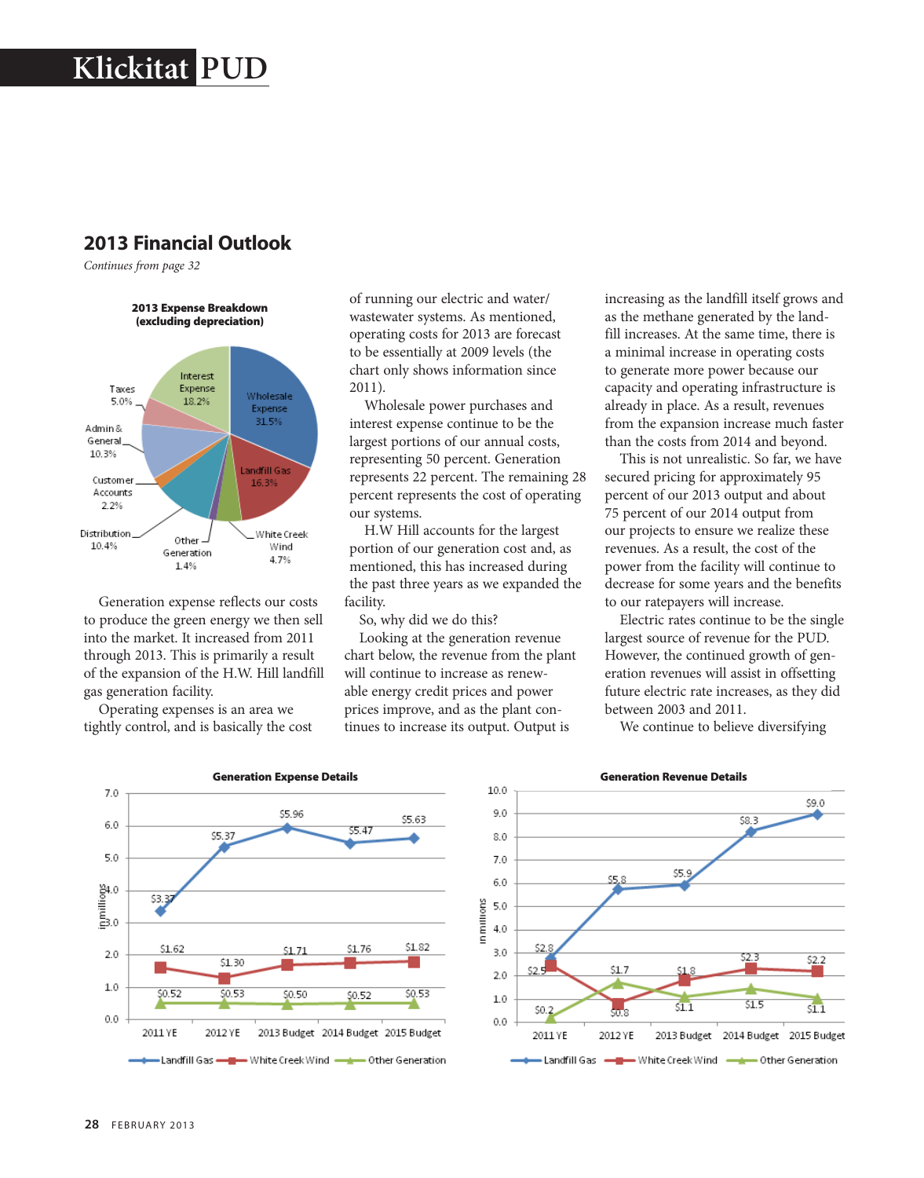# **2013 Financial Outlook**

*Continues from page 32*



Generation expense reflects our costs to produce the green energy we then sell into the market. It increased from 2011 through 2013. This is primarily a result of the expansion of the H.W. Hill landfill gas generation facility.

Operating expenses is an area we tightly control, and is basically the cost of running our electric and water/ wastewater systems. As mentioned, operating costs for 2013 are forecast to be essentially at 2009 levels (the chart only shows information since 2011).

Wholesale power purchases and interest expense continue to be the largest portions of our annual costs, representing 50 percent. Generation represents 22 percent. The remaining 28 percent represents the cost of operating our systems.

H.W Hill accounts for the largest portion of our generation cost and, as mentioned, this has increased during the past three years as we expanded the facility.

So, why did we do this?

Looking at the generation revenue chart below, the revenue from the plant will continue to increase as renewable energy credit prices and power prices improve, and as the plant continues to increase its output. Output is

increasing as the landfill itself grows and as the methane generated by the landfill increases. At the same time, there is a minimal increase in operating costs to generate more power because our capacity and operating infrastructure is already in place. As a result, revenues from the expansion increase much faster than the costs from 2014 and beyond.

This is not unrealistic. So far, we have secured pricing for approximately 95 percent of our 2013 output and about 75 percent of our 2014 output from our projects to ensure we realize these revenues. As a result, the cost of the power from the facility will continue to decrease for some years and the benefits to our ratepayers will increase.

Electric rates continue to be the single largest source of revenue for the PUD. However, the continued growth of generation revenues will assist in offsetting future electric rate increases, as they did between 2003 and 2011.

We continue to believe diversifying